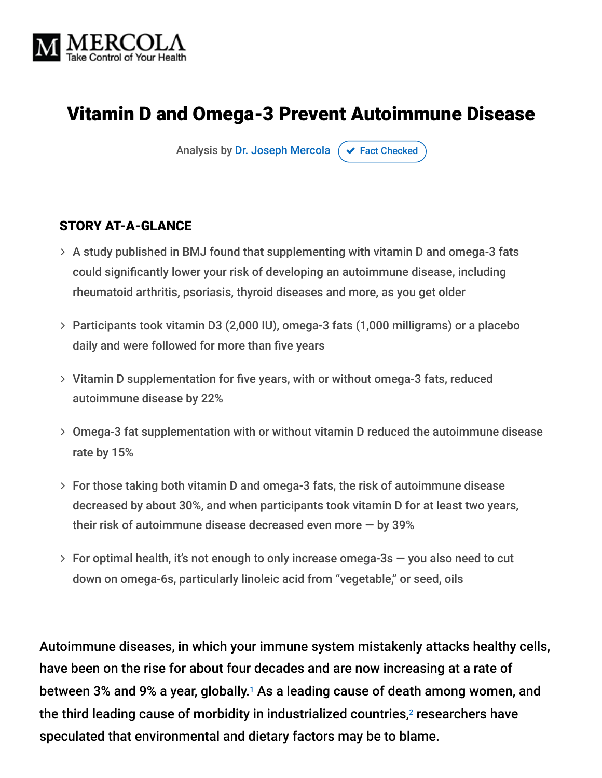

# Vitamin D and Omega-3 Prevent Autoimmune Disease

Analysis by [Dr. Joseph Mercola](https://www.mercola.com/forms/background.htm)  $\sigma$  [Fact Checked](javascript:void(0))

#### STORY AT-A-GLANCE

- A study published in BMJ found that supplementing with vitamin D and omega-3 fats could significantly lower your risk of developing an autoimmune disease, including rheumatoid arthritis, psoriasis, thyroid diseases and more, as you get older
- Participants took vitamin D3 (2,000 IU), omega-3 fats (1,000 milligrams) or a placebo daily and were followed for more than five years
- Vitamin D supplementation for five years, with or without omega-3 fats, reduced autoimmune disease by 22%
- Omega-3 fat supplementation with or without vitamin D reduced the autoimmune disease rate by 15%
- For those taking both vitamin D and omega-3 fats, the risk of autoimmune disease decreased by about 30%, and when participants took vitamin D for at least two years, their risk of autoimmune disease decreased even more — by 39%
- $>$  For optimal health, it's not enough to only increase omega-3s  $-$  you also need to cut down on omega-6s, particularly linoleic acid from "vegetable," or seed, oils

Autoimmune diseases, in which your immune system mistakenly attacks healthy cells, have been on the rise for about four decades and are now increasing at a rate of between 3% and 9% a year, globally.<sup>1</sup> As a leading cause of death among women, and the third leading cause of morbidity in industrialized countries, $^2$  researchers have speculated that environmental and dietary factors may be to blame.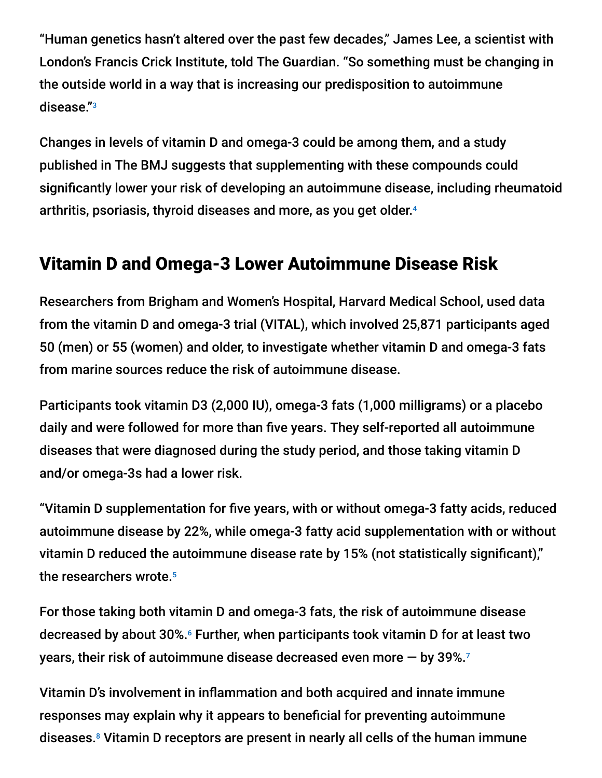"Human genetics hasn't altered over the past few decades," James Lee, a scientist with London's Francis Crick Institute, told The Guardian. "So something must be changing in the outside world in a way that is increasing our predisposition to autoimmune disease." 3

Changes in levels of vitamin D and omega-3 could be among them, and a study published in The BMJ suggests that supplementing with these compounds could significantly lower your risk of developing an autoimmune disease, including rheumatoid arthritis, psoriasis, thyroid diseases and more, as you get older. 4

## Vitamin D and Omega-3 Lower Autoimmune Disease Risk

Researchers from Brigham and Women's Hospital, Harvard Medical School, used data from the vitamin D and omega-3 trial (VITAL), which involved 25,871 participants aged 50 (men) or 55 (women) and older, to investigate whether vitamin D and omega-3 fats from marine sources reduce the risk of autoimmune disease.

Participants took vitamin D3 (2,000 IU), omega-3 fats (1,000 milligrams) or a placebo daily and were followed for more than five years. They self-reported all autoimmune diseases that were diagnosed during the study period, and those taking vitamin D and/or omega-3s had a lower risk.

"Vitamin D supplementation for five years, with or without omega-3 fatty acids, reduced autoimmune disease by 22%, while omega-3 fatty acid supplementation with or without vitamin D reduced the autoimmune disease rate by 15% (not statistically significant)," the researchers wrote. 5

For those taking both vitamin D and omega-3 fats, the risk of autoimmune disease decreased by about 30%.<sup>6</sup> Further, when participants took vitamin D for at least two years, their risk of autoimmune disease decreased even more  $-$  by 39%. $^{\rm 7}$ 

Vitamin D's involvement in inflammation and both acquired and innate immune responses may explain why it appears to beneficial for preventing autoimmune diseases.<sup>8</sup> Vitamin D receptors are present in nearly all cells of the human immune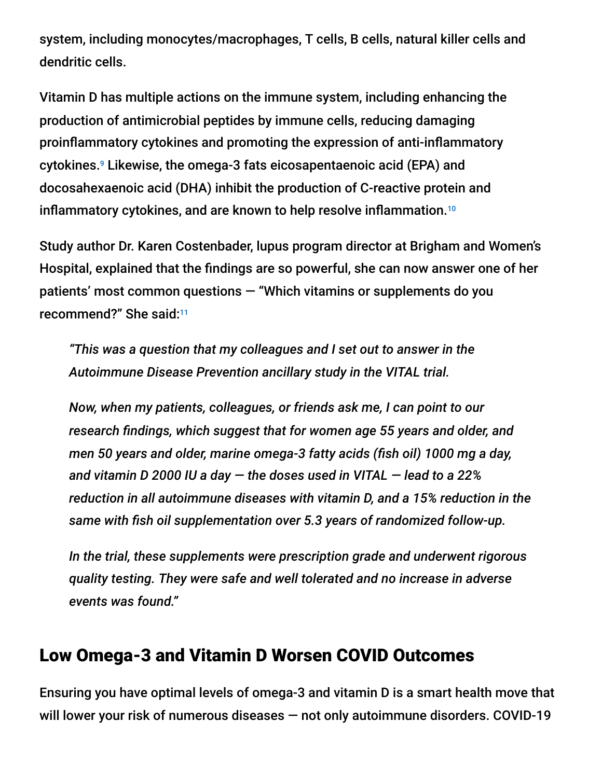system, including monocytes/macrophages, T cells, B cells, natural killer cells and dendritic cells.

Vitamin D has multiple actions on the immune system, including enhancing the production of antimicrobial peptides by immune cells, reducing damaging proinflammatory cytokines and promoting the expression of anti-inflammatory cytokines.<sup>9</sup> Likewise, the omega-3 fats eicosapentaenoic acid (EPA) and docosahexaenoic acid (DHA) inhibit the production of C-reactive protein and inflammatory cytokines, and are known to help resolve inflammation. 10

Study author Dr. Karen Costenbader, lupus program director at Brigham and Women's Hospital, explained that the findings are so powerful, she can now answer one of her patients' most common questions — "Which vitamins or supplements do you recommend?" She said: 11

*"This was a question that my colleagues and I set out to answer in the Autoimmune Disease Prevention ancillary study in the VITAL trial.*

*Now, when my patients, colleagues, or friends ask me, I can point to our research findings, which suggest that for women age 55 years and older, and men 50 years and older, marine omega-3 fatty acids (fish oil) 1000 mg a day, and vitamin D 2000 IU a day — the doses used in VITAL — lead to a 22% reduction in all autoimmune diseases with vitamin D, and a 15% reduction in the same with fish oil supplementation over 5.3 years of randomized follow-up.*

*In the trial, these supplements were prescription grade and underwent rigorous quality testing. They were safe and well tolerated and no increase in adverse events was found."*

### Low Omega-3 and Vitamin D Worsen COVID Outcomes

Ensuring you have optimal levels of omega-3 and vitamin D is a smart health move that will lower your risk of numerous diseases — not only autoimmune disorders. COVID-19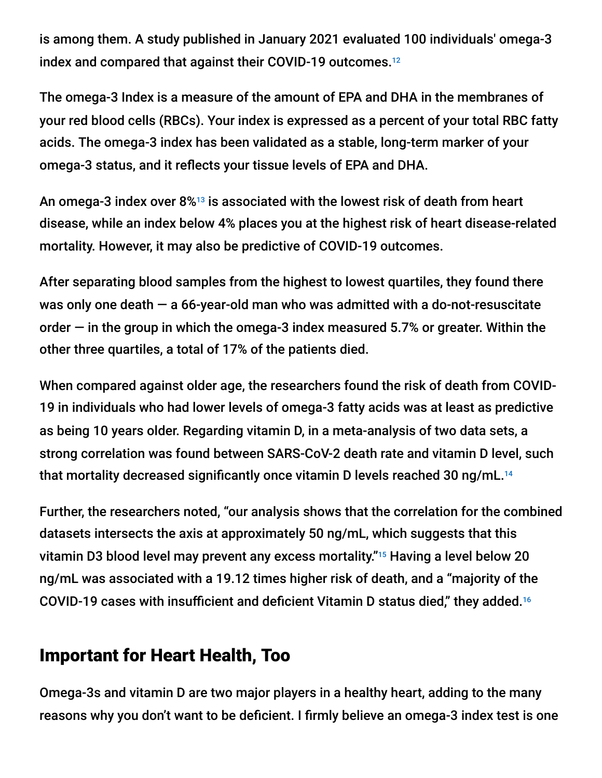is among them. A study published in January 2021 evaluated 100 individuals' omega-3 index and compared that against their COVID-19 outcomes. 12

The omega-3 Index is a measure of the amount of EPA and DHA in the membranes of your red blood cells (RBCs). Your index is expressed as a percent of your total RBC fatty acids. The omega-3 index has been validated as a stable, long-term marker of your omega-3 status, and it reflects your tissue levels of EPA and DHA.

An omega-3 index over  $8\%$ <sup>13</sup> is associated with the lowest risk of death from heart disease, while an index below 4% places you at the highest risk of heart disease-related mortality. However, it may also be predictive of COVID-19 outcomes.

After separating blood samples from the highest to lowest quartiles, they found there was only one death  $-$  a 66-year-old man who was admitted with a do-not-resuscitate order — in the group in which the omega-3 index measured 5.7% or greater. Within the other three quartiles, a total of 17% of the patients died.

When compared against older age, the researchers found the risk of death from COVID-19 in individuals who had lower levels of omega-3 fatty acids was at least as predictive as being 10 years older. Regarding vitamin D, in a meta-analysis of two data sets, a strong correlation was found between SARS-CoV-2 death rate and vitamin D level, such that mortality decreased significantly once vitamin D levels reached 30 ng/mL. 14

Further, the researchers noted, "our analysis shows that the correlation for the combined datasets intersects the axis at approximately 50 ng/mL, which suggests that this vitamin D3 blood level may prevent any excess mortality."<sup>15</sup> Having a level below 20 ng/mL was associated with a 19.12 times higher risk of death, and a "majority of the COVID-19 cases with insufficient and deficient Vitamin D status died," they added. 16

### Important for Heart Health, Too

Omega-3s and vitamin D are two major players in a healthy heart, adding to the many reasons why you don't want to be deficient. I firmly believe an omega-3 index test is one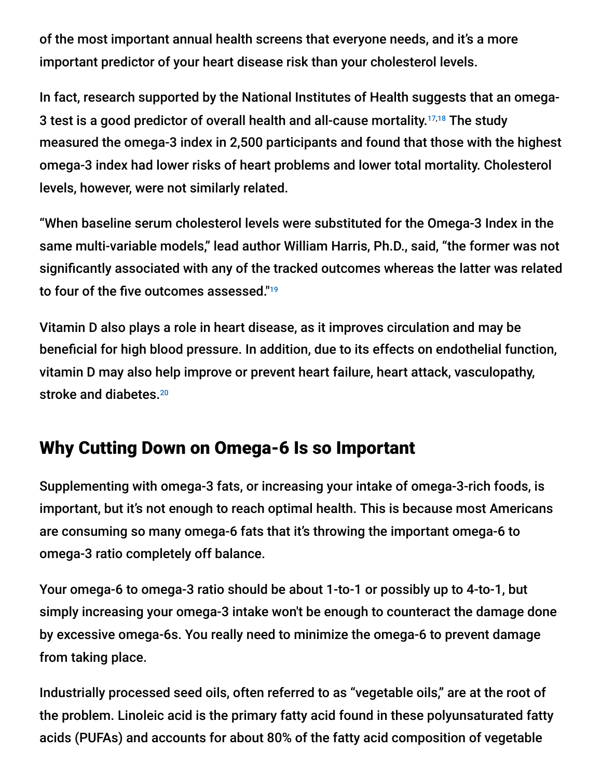of the most important annual health screens that everyone needs, and it's a more important predictor of your heart disease risk than your cholesterol levels.

In fact, research supported by the National Institutes of Health suggests that an omega-3 test is a good predictor of overall health and all-cause mortality.<sup>17,18</sup> The study measured the omega-3 index in 2,500 participants and found that those with the highest omega-3 index had lower risks of heart problems and lower total mortality. Cholesterol levels, however, were not similarly related.

"When baseline serum cholesterol levels were substituted for the Omega-3 Index in the same multi-variable models," lead author William Harris, Ph.D., said, "the former was not significantly associated with any of the tracked outcomes whereas the latter was related to four of the five outcomes assessed." 19

Vitamin D also plays a role in heart disease, as it improves circulation and may be beneficial for high blood pressure. In addition, due to its effects on endothelial function, vitamin D may also help improve or prevent heart failure, heart attack, vasculopathy, stroke and diabetes.<sup>20</sup>

# Why Cutting Down on Omega-6 Is so Important

Supplementing with omega-3 fats, or increasing your intake of omega-3-rich foods, is important, but it's not enough to reach optimal health. This is because most Americans are consuming so many omega-6 fats that it's throwing the important omega-6 to omega-3 ratio completely off balance.

Your omega-6 to omega-3 ratio should be about 1-to-1 or possibly up to 4-to-1, but simply increasing your omega-3 intake won't be enough to counteract the damage done by excessive omega-6s. You really need to minimize the omega-6 to prevent damage from taking place.

Industrially processed seed oils, often referred to as "vegetable oils," are at the root of the problem. Linoleic acid is the primary fatty acid found in these polyunsaturated fatty acids (PUFAs) and accounts for about 80% of the fatty acid composition of vegetable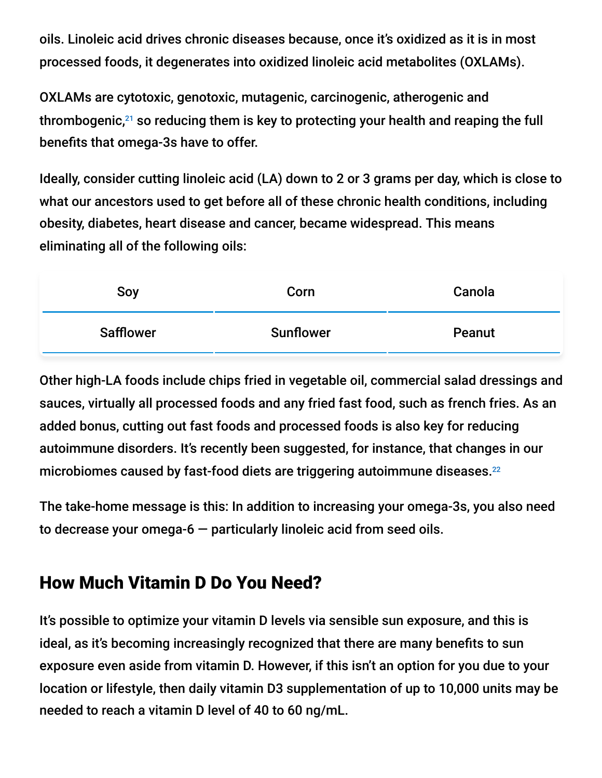oils. Linoleic acid drives chronic diseases because, once it's oxidized as it is in most processed foods, it degenerates into oxidized linoleic acid metabolites (OXLAMs).

OXLAMs are cytotoxic, genotoxic, mutagenic, carcinogenic, atherogenic and thrombogenic, $^{21}$  so reducing them is key to protecting your health and reaping the full benefits that omega-3s have to offer.

Ideally, consider cutting linoleic acid (LA) down to 2 or 3 grams per day, which is close to what our ancestors used to get before all of these chronic health conditions, including obesity, diabetes, heart disease and cancer, became widespread. This means eliminating all of the following oils:

| Soy              | Corn             | Canola |
|------------------|------------------|--------|
| <b>Safflower</b> | <b>Sunflower</b> | Peanut |

Other high-LA foods include chips fried in vegetable oil, commercial salad dressings and sauces, virtually all processed foods and any fried fast food, such as french fries. As an added bonus, cutting out fast foods and processed foods is also key for reducing autoimmune disorders. It's recently been suggested, for instance, that changes in our microbiomes caused by fast-food diets are triggering autoimmune diseases. $^\mathrm{22}$ 

The take-home message is this: In addition to increasing your omega-3s, you also need to decrease your omega- $6$  – particularly linoleic acid from seed oils.

# How Much Vitamin D Do You Need?

It's possible to optimize your vitamin D levels via sensible sun exposure, and this is ideal, as it's becoming increasingly recognized that there are many benefits to sun exposure even aside from vitamin D. However, if this isn't an option for you due to your location or lifestyle, then daily vitamin D3 supplementation of up to 10,000 units may be needed to reach a vitamin D level of 40 to 60 ng/mL.